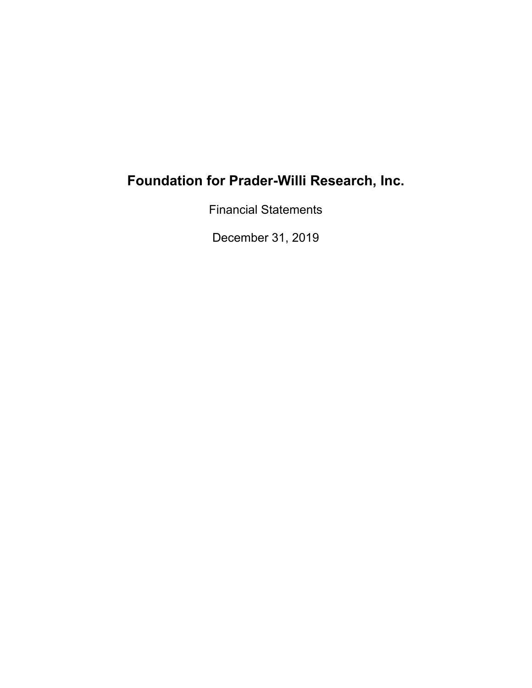Financial Statements

December 31, 2019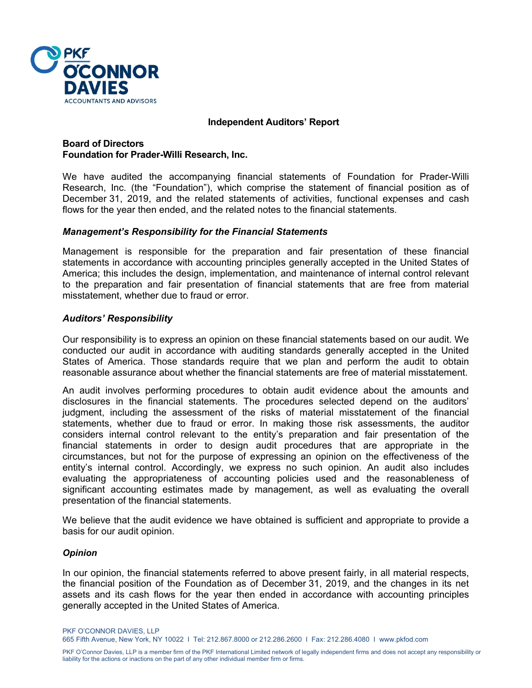

#### **Independent Auditors' Report**

#### **Board of Directors Foundation for Prader-Willi Research, Inc.**

We have audited the accompanying financial statements of Foundation for Prader-Willi Research, Inc. (the "Foundation"), which comprise the statement of financial position as of December 31, 2019, and the related statements of activities, functional expenses and cash flows for the year then ended, and the related notes to the financial statements.

#### *Management's Responsibility for the Financial Statements*

Management is responsible for the preparation and fair presentation of these financial statements in accordance with accounting principles generally accepted in the United States of America; this includes the design, implementation, and maintenance of internal control relevant to the preparation and fair presentation of financial statements that are free from material misstatement, whether due to fraud or error.

#### *Auditors' Responsibility*

Our responsibility is to express an opinion on these financial statements based on our audit. We conducted our audit in accordance with auditing standards generally accepted in the United States of America. Those standards require that we plan and perform the audit to obtain reasonable assurance about whether the financial statements are free of material misstatement.

An audit involves performing procedures to obtain audit evidence about the amounts and disclosures in the financial statements. The procedures selected depend on the auditors' judgment, including the assessment of the risks of material misstatement of the financial statements, whether due to fraud or error. In making those risk assessments, the auditor considers internal control relevant to the entity's preparation and fair presentation of the financial statements in order to design audit procedures that are appropriate in the circumstances, but not for the purpose of expressing an opinion on the effectiveness of the entity's internal control. Accordingly, we express no such opinion. An audit also includes evaluating the appropriateness of accounting policies used and the reasonableness of significant accounting estimates made by management, as well as evaluating the overall presentation of the financial statements.

We believe that the audit evidence we have obtained is sufficient and appropriate to provide a basis for our audit opinion.

#### *Opinion*

In our opinion, the financial statements referred to above present fairly, in all material respects, the financial position of the Foundation as of December 31, 2019, and the changes in its net assets and its cash flows for the year then ended in accordance with accounting principles generally accepted in the United States of America.

PKF O'CONNOR DAVIES, LLP 665 Fifth Avenue, New York, NY 10022 I Tel: 212.867.8000 or 212.286.2600 I Fax: 212.286.4080 I www.pkfod.com

PKF O'Connor Davies, LLP is a member firm of the PKF International Limited network of legally independent firms and does not accept any responsibility or liability for the actions or inactions on the part of any other individual member firm or firms.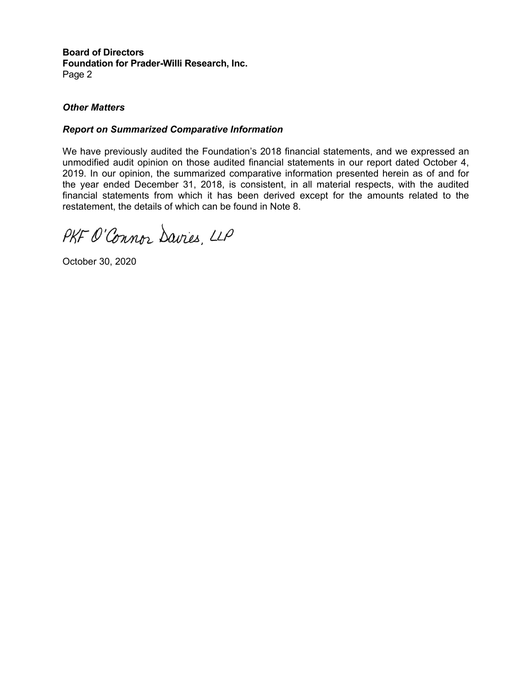**Board of Directors Foundation for Prader-Willi Research, Inc.**  Page 2

# *Other Matters*

# *Report on Summarized Comparative Information*

We have previously audited the Foundation's 2018 financial statements, and we expressed an unmodified audit opinion on those audited financial statements in our report dated October 4, 2019. In our opinion, the summarized comparative information presented herein as of and for the year ended December 31, 2018, is consistent, in all material respects, with the audited financial statements from which it has been derived except for the amounts related to the restatement, the details of which can be found in Note 8.

PKF O'Connor Davies, LLP

October 30, 2020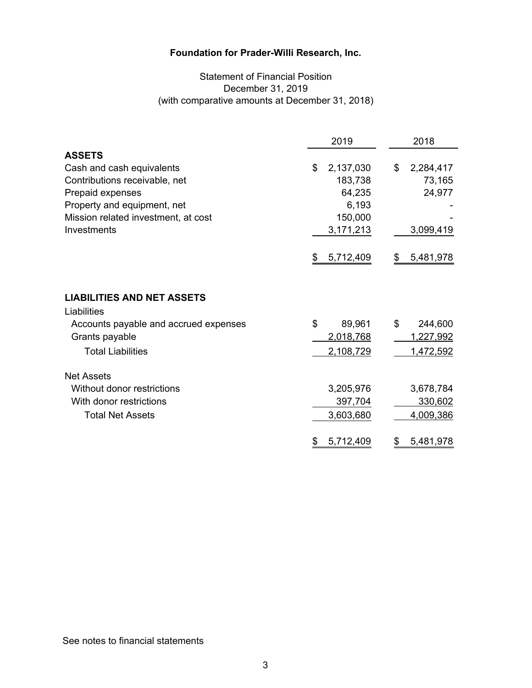# Statement of Financial Position December 31, 2019 (with comparative amounts at December 31, 2018)

|                                                  | 2019            | 2018            |
|--------------------------------------------------|-----------------|-----------------|
| <b>ASSETS</b>                                    |                 |                 |
| Cash and cash equivalents                        | 2,137,030<br>\$ | \$<br>2,284,417 |
| Contributions receivable, net                    | 183,738         | 73,165          |
| Prepaid expenses                                 | 64,235          | 24,977          |
| Property and equipment, net                      | 6,193           |                 |
| Mission related investment, at cost              | 150,000         |                 |
| Investments                                      | 3,171,213       | 3,099,419       |
|                                                  | 5,712,409<br>\$ | 5,481,978<br>\$ |
| <b>LIABILITIES AND NET ASSETS</b><br>Liabilities |                 |                 |
| Accounts payable and accrued expenses            | \$<br>89,961    | \$<br>244,600   |
| Grants payable                                   | 2,018,768       | 1,227,992       |
| <b>Total Liabilities</b>                         | 2,108,729       | 1,472,592       |
| <b>Net Assets</b>                                |                 |                 |
| Without donor restrictions                       | 3,205,976       | 3,678,784       |
| With donor restrictions                          | 397,704         | 330,602         |
| <b>Total Net Assets</b>                          | 3,603,680       | 4,009,386       |
|                                                  | 5,712,409<br>\$ | 5,481,978<br>\$ |

See notes to financial statements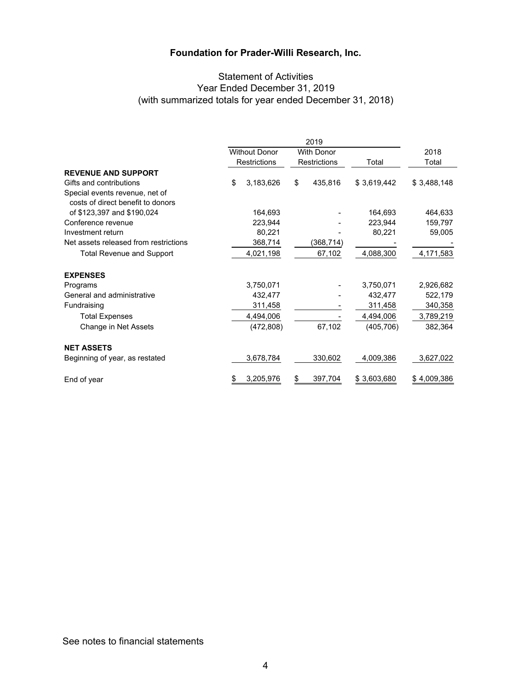# Statement of Activities Year Ended December 31, 2019 (with summarized totals for year ended December 31, 2018)

|                                       |                      | 2019              |             |             |
|---------------------------------------|----------------------|-------------------|-------------|-------------|
|                                       | <b>Without Donor</b> | <b>With Donor</b> |             | 2018        |
|                                       | <b>Restrictions</b>  | Restrictions      | Total       | Total       |
| <b>REVENUE AND SUPPORT</b>            |                      |                   |             |             |
| Gifts and contributions               | \$<br>3,183,626      | \$<br>435,816     | \$3,619,442 | \$3,488,148 |
| Special events revenue, net of        |                      |                   |             |             |
| costs of direct benefit to donors     |                      |                   |             |             |
| of \$123,397 and \$190,024            | 164,693              |                   | 164,693     | 464,633     |
| Conference revenue                    | 223,944              |                   | 223,944     | 159,797     |
| Investment return                     | 80,221               |                   | 80,221      | 59,005      |
| Net assets released from restrictions | 368,714              | (368,714)         |             |             |
| <b>Total Revenue and Support</b>      | 4,021,198            | 67,102            | 4,088,300   | 4,171,583   |
| <b>EXPENSES</b>                       |                      |                   |             |             |
| Programs                              | 3,750,071            |                   | 3,750,071   | 2,926,682   |
| General and administrative            | 432,477              |                   | 432,477     | 522,179     |
| Fundraising                           | 311,458              |                   | 311,458     | 340,358     |
| <b>Total Expenses</b>                 | 4,494,006            |                   | 4,494,006   | 3,789,219   |
| Change in Net Assets                  | (472, 808)           | 67,102            | (405, 706)  | 382,364     |
| <b>NET ASSETS</b>                     |                      |                   |             |             |
| Beginning of year, as restated        | 3,678,784            | 330,602           | 4,009,386   | 3,627,022   |
| End of year                           | 3,205,976<br>\$      | 397,704<br>\$     | \$3,603,680 | \$4,009,386 |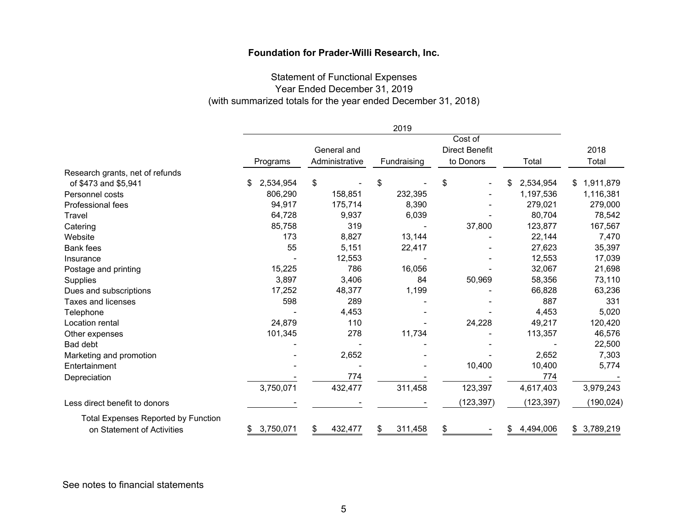# Statement of Functional Expenses Year Ended December 31, 2019 (with summarized totals for the year ended December 31, 2018)

|                                            |                |                | 2019          |                                  |                 |                 |
|--------------------------------------------|----------------|----------------|---------------|----------------------------------|-----------------|-----------------|
|                                            |                | General and    |               | Cost of<br><b>Direct Benefit</b> |                 | 2018            |
|                                            | Programs       | Administrative | Fundraising   | to Donors                        | Total           | Total           |
| Research grants, net of refunds            |                |                |               |                                  |                 |                 |
| of \$473 and \$5,941                       | 2,534,954<br>S | \$             | \$            | \$                               | 2,534,954<br>\$ | 1,911,879<br>\$ |
| Personnel costs                            | 806,290        | 158,851        | 232,395       |                                  | 1,197,536       | 1,116,381       |
| Professional fees                          | 94,917         | 175,714        | 8,390         |                                  | 279,021         | 279,000         |
| Travel                                     | 64,728         | 9,937          | 6,039         |                                  | 80,704          | 78,542          |
| Catering                                   | 85,758         | 319            |               | 37,800                           | 123,877         | 167,567         |
| Website                                    | 173            | 8,827          | 13,144        |                                  | 22,144          | 7,470           |
| <b>Bank</b> fees                           | 55             | 5,151          | 22,417        |                                  | 27,623          | 35,397          |
| Insurance                                  |                | 12,553         |               |                                  | 12,553          | 17,039          |
| Postage and printing                       | 15,225         | 786            | 16,056        |                                  | 32,067          | 21,698          |
| <b>Supplies</b>                            | 3,897          | 3,406          | 84            | 50,969                           | 58,356          | 73,110          |
| Dues and subscriptions                     | 17,252         | 48,377         | 1,199         |                                  | 66,828          | 63,236          |
| Taxes and licenses                         | 598            | 289            |               |                                  | 887             | 331             |
| Telephone                                  |                | 4,453          |               |                                  | 4,453           | 5,020           |
| Location rental                            | 24,879         | 110            |               | 24,228                           | 49,217          | 120,420         |
| Other expenses                             | 101,345        | 278            | 11,734        |                                  | 113,357         | 46,576          |
| Bad debt                                   |                |                |               |                                  |                 | 22,500          |
| Marketing and promotion                    |                | 2,652          |               |                                  | 2,652           | 7,303           |
| Entertainment                              |                |                |               | 10,400                           | 10,400          | 5,774           |
| Depreciation                               |                | 774            |               |                                  | 774             |                 |
|                                            | 3,750,071      | 432,477        | 311,458       | 123,397                          | 4,617,403       | 3,979,243       |
| Less direct benefit to donors              |                |                |               | (123, 397)                       | (123, 397)      | (190, 024)      |
| <b>Total Expenses Reported by Function</b> |                |                |               |                                  |                 |                 |
| on Statement of Activities                 | 3,750,071      | 432,477<br>\$  | \$<br>311,458 |                                  | 4,494,006<br>\$ | \$3,789,219     |

#### See notes to financial statements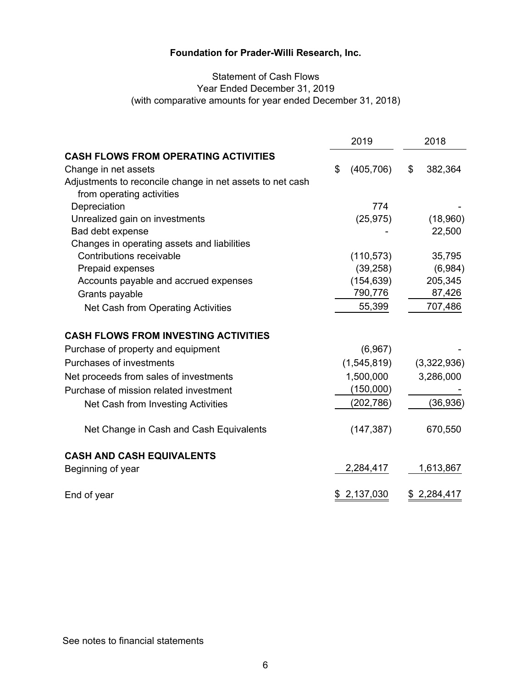# Statement of Cash Flows Year Ended December 31, 2019 (with comparative amounts for year ended December 31, 2018)

|                                                                                        | 2019             | 2018          |
|----------------------------------------------------------------------------------------|------------------|---------------|
| <b>CASH FLOWS FROM OPERATING ACTIVITIES</b>                                            |                  |               |
| Change in net assets                                                                   | \$<br>(405, 706) | \$<br>382,364 |
| Adjustments to reconcile change in net assets to net cash<br>from operating activities |                  |               |
| Depreciation                                                                           | 774              |               |
| Unrealized gain on investments                                                         | (25, 975)        | (18,960)      |
| Bad debt expense                                                                       |                  | 22,500        |
| Changes in operating assets and liabilities                                            |                  |               |
| Contributions receivable                                                               | (110, 573)       | 35,795        |
| Prepaid expenses                                                                       | (39, 258)        | (6,984)       |
| Accounts payable and accrued expenses                                                  | (154, 639)       | 205,345       |
| Grants payable                                                                         | 790,776          | 87,426        |
| Net Cash from Operating Activities                                                     | 55,399           | 707,486       |
| <b>CASH FLOWS FROM INVESTING ACTIVITIES</b>                                            |                  |               |
| Purchase of property and equipment                                                     | (6,967)          |               |
| Purchases of investments                                                               | (1,545,819)      | (3,322,936)   |
| Net proceeds from sales of investments                                                 | 1,500,000        | 3,286,000     |
| Purchase of mission related investment                                                 | (150,000)        |               |
| Net Cash from Investing Activities                                                     | (202,786)        | (36, 936)     |
| Net Change in Cash and Cash Equivalents                                                | (147, 387)       | 670,550       |
| <b>CASH AND CASH EQUIVALENTS</b>                                                       |                  |               |
| Beginning of year                                                                      | 2,284,417        | 1,613,867     |
| End of year                                                                            | \$<br>2,137,030  | \$2,284,417   |

See notes to financial statements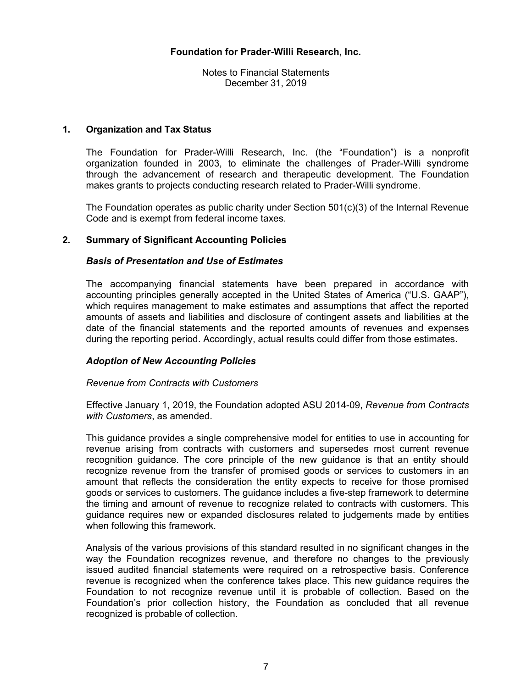Notes to Financial Statements December 31, 2019

#### **1. Organization and Tax Status**

The Foundation for Prader-Willi Research, Inc. (the "Foundation") is a nonprofit organization founded in 2003, to eliminate the challenges of Prader-Willi syndrome through the advancement of research and therapeutic development. The Foundation makes grants to projects conducting research related to Prader-Willi syndrome.

The Foundation operates as public charity under Section 501(c)(3) of the Internal Revenue Code and is exempt from federal income taxes.

# **2. Summary of Significant Accounting Policies**

#### *Basis of Presentation and Use of Estimates*

The accompanying financial statements have been prepared in accordance with accounting principles generally accepted in the United States of America ("U.S. GAAP"), which requires management to make estimates and assumptions that affect the reported amounts of assets and liabilities and disclosure of contingent assets and liabilities at the date of the financial statements and the reported amounts of revenues and expenses during the reporting period. Accordingly, actual results could differ from those estimates.

#### *Adoption of New Accounting Policies*

#### *Revenue from Contracts with Customers*

Effective January 1, 2019, the Foundation adopted ASU 2014-09, *Revenue from Contracts with Customers*, as amended.

This guidance provides a single comprehensive model for entities to use in accounting for revenue arising from contracts with customers and supersedes most current revenue recognition guidance. The core principle of the new guidance is that an entity should recognize revenue from the transfer of promised goods or services to customers in an amount that reflects the consideration the entity expects to receive for those promised goods or services to customers. The guidance includes a five-step framework to determine the timing and amount of revenue to recognize related to contracts with customers. This guidance requires new or expanded disclosures related to judgements made by entities when following this framework.

Analysis of the various provisions of this standard resulted in no significant changes in the way the Foundation recognizes revenue, and therefore no changes to the previously issued audited financial statements were required on a retrospective basis. Conference revenue is recognized when the conference takes place. This new guidance requires the Foundation to not recognize revenue until it is probable of collection. Based on the Foundation's prior collection history, the Foundation as concluded that all revenue recognized is probable of collection.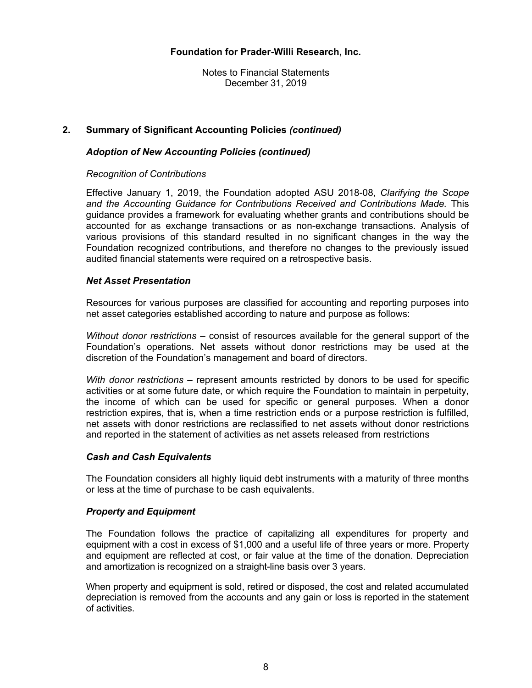Notes to Financial Statements December 31, 2019

# **2. Summary of Significant Accounting Policies** *(continued)*

#### *Adoption of New Accounting Policies (continued)*

#### *Recognition of Contributions*

Effective January 1, 2019, the Foundation adopted ASU 2018-08, *Clarifying the Scope and the Accounting Guidance for Contributions Received and Contributions Made.* This guidance provides a framework for evaluating whether grants and contributions should be accounted for as exchange transactions or as non-exchange transactions. Analysis of various provisions of this standard resulted in no significant changes in the way the Foundation recognized contributions, and therefore no changes to the previously issued audited financial statements were required on a retrospective basis.

#### *Net Asset Presentation*

Resources for various purposes are classified for accounting and reporting purposes into net asset categories established according to nature and purpose as follows:

*Without donor restrictions* – consist of resources available for the general support of the Foundation's operations. Net assets without donor restrictions may be used at the discretion of the Foundation's management and board of directors.

*With donor restrictions* – represent amounts restricted by donors to be used for specific activities or at some future date, or which require the Foundation to maintain in perpetuity, the income of which can be used for specific or general purposes. When a donor restriction expires, that is, when a time restriction ends or a purpose restriction is fulfilled, net assets with donor restrictions are reclassified to net assets without donor restrictions and reported in the statement of activities as net assets released from restrictions

#### *Cash and Cash Equivalents*

The Foundation considers all highly liquid debt instruments with a maturity of three months or less at the time of purchase to be cash equivalents.

#### *Property and Equipment*

The Foundation follows the practice of capitalizing all expenditures for property and equipment with a cost in excess of \$1,000 and a useful life of three years or more. Property and equipment are reflected at cost, or fair value at the time of the donation. Depreciation and amortization is recognized on a straight-line basis over 3 years.

When property and equipment is sold, retired or disposed, the cost and related accumulated depreciation is removed from the accounts and any gain or loss is reported in the statement of activities.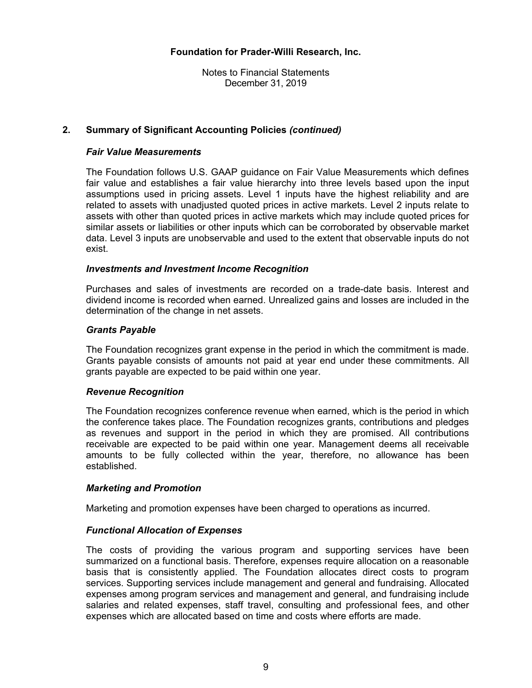Notes to Financial Statements December 31, 2019

# **2. Summary of Significant Accounting Policies** *(continued)*

## *Fair Value Measurements*

The Foundation follows U.S. GAAP guidance on Fair Value Measurements which defines fair value and establishes a fair value hierarchy into three levels based upon the input assumptions used in pricing assets. Level 1 inputs have the highest reliability and are related to assets with unadjusted quoted prices in active markets. Level 2 inputs relate to assets with other than quoted prices in active markets which may include quoted prices for similar assets or liabilities or other inputs which can be corroborated by observable market data. Level 3 inputs are unobservable and used to the extent that observable inputs do not exist.

# *Investments and Investment Income Recognition*

Purchases and sales of investments are recorded on a trade-date basis. Interest and dividend income is recorded when earned. Unrealized gains and losses are included in the determination of the change in net assets.

#### *Grants Payable*

The Foundation recognizes grant expense in the period in which the commitment is made. Grants payable consists of amounts not paid at year end under these commitments. All grants payable are expected to be paid within one year.

#### *Revenue Recognition*

The Foundation recognizes conference revenue when earned, which is the period in which the conference takes place. The Foundation recognizes grants, contributions and pledges as revenues and support in the period in which they are promised. All contributions receivable are expected to be paid within one year. Management deems all receivable amounts to be fully collected within the year, therefore, no allowance has been established.

#### *Marketing and Promotion*

Marketing and promotion expenses have been charged to operations as incurred.

# *Functional Allocation of Expenses*

The costs of providing the various program and supporting services have been summarized on a functional basis. Therefore, expenses require allocation on a reasonable basis that is consistently applied. The Foundation allocates direct costs to program services. Supporting services include management and general and fundraising. Allocated expenses among program services and management and general, and fundraising include salaries and related expenses, staff travel, consulting and professional fees, and other expenses which are allocated based on time and costs where efforts are made.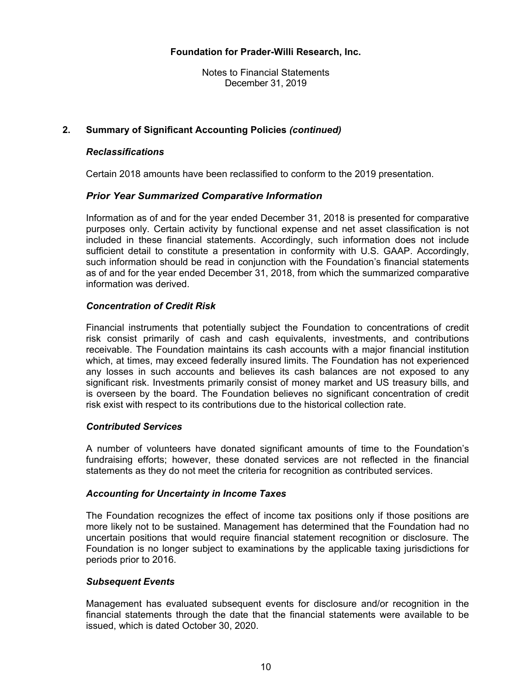Notes to Financial Statements December 31, 2019

# **2. Summary of Significant Accounting Policies** *(continued)*

#### *Reclassifications*

Certain 2018 amounts have been reclassified to conform to the 2019 presentation.

# *Prior Year Summarized Comparative Information*

Information as of and for the year ended December 31, 2018 is presented for comparative purposes only. Certain activity by functional expense and net asset classification is not included in these financial statements. Accordingly, such information does not include sufficient detail to constitute a presentation in conformity with U.S. GAAP. Accordingly, such information should be read in conjunction with the Foundation's financial statements as of and for the year ended December 31, 2018, from which the summarized comparative information was derived.

# *Concentration of Credit Risk*

Financial instruments that potentially subject the Foundation to concentrations of credit risk consist primarily of cash and cash equivalents, investments, and contributions receivable. The Foundation maintains its cash accounts with a major financial institution which, at times, may exceed federally insured limits. The Foundation has not experienced any losses in such accounts and believes its cash balances are not exposed to any significant risk. Investments primarily consist of money market and US treasury bills, and is overseen by the board. The Foundation believes no significant concentration of credit risk exist with respect to its contributions due to the historical collection rate.

#### *Contributed Services*

A number of volunteers have donated significant amounts of time to the Foundation's fundraising efforts; however, these donated services are not reflected in the financial statements as they do not meet the criteria for recognition as contributed services.

#### *Accounting for Uncertainty in Income Taxes*

The Foundation recognizes the effect of income tax positions only if those positions are more likely not to be sustained. Management has determined that the Foundation had no uncertain positions that would require financial statement recognition or disclosure. The Foundation is no longer subject to examinations by the applicable taxing jurisdictions for periods prior to 2016.

#### *Subsequent Events*

Management has evaluated subsequent events for disclosure and/or recognition in the financial statements through the date that the financial statements were available to be issued, which is dated October 30, 2020.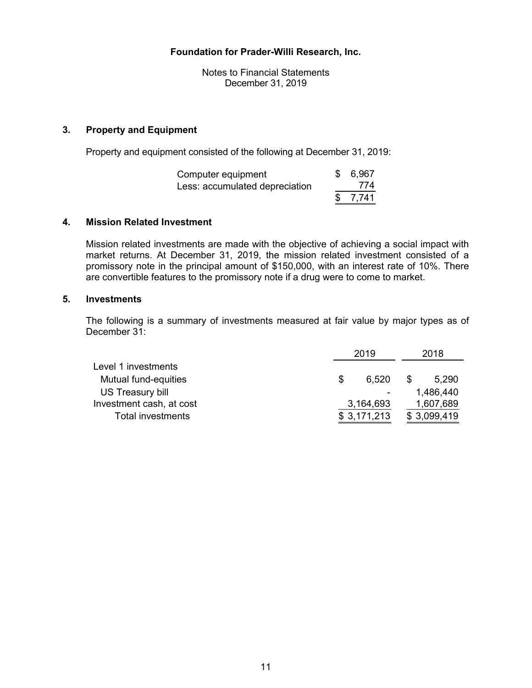Notes to Financial Statements December 31, 2019

# **3. Property and Equipment**

Property and equipment consisted of the following at December 31, 2019:

| Computer equipment             | \$6,967 |
|--------------------------------|---------|
| Less: accumulated depreciation | 774     |
|                                | \$7,741 |

# **4. Mission Related Investment**

Mission related investments are made with the objective of achieving a social impact with market returns. At December 31, 2019, the mission related investment consisted of a promissory note in the principal amount of \$150,000, with an interest rate of 10%. There are convertible features to the promissory note if a drug were to come to market.

# **5. Investments**

The following is a summary of investments measured at fair value by major types as of December 31:

|                          |   | 2019        |   | 2018        |
|--------------------------|---|-------------|---|-------------|
| Level 1 investments      |   |             |   |             |
| Mutual fund-equities     | S | 6.520       | S | 5,290       |
| US Treasury bill         |   |             |   | 1,486,440   |
| Investment cash, at cost |   | 3,164,693   |   | 1,607,689   |
| Total investments        |   | \$3,171,213 |   | \$3,099,419 |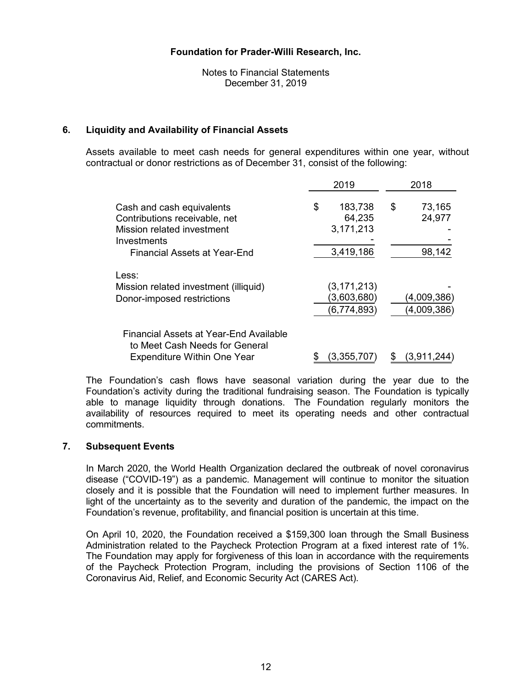Notes to Financial Statements December 31, 2019

## **6. Liquidity and Availability of Financial Assets**

Assets available to meet cash needs for general expenditures within one year, without contractual or donor restrictions as of December 31, consist of the following:

|                                                                                                                                         | 2019                                              | 2018                             |
|-----------------------------------------------------------------------------------------------------------------------------------------|---------------------------------------------------|----------------------------------|
| Cash and cash equivalents<br>Contributions receivable, net<br>Mission related investment<br>Investments<br>Financial Assets at Year-End | \$<br>183,738<br>64,235<br>3,171,213<br>3,419,186 | \$<br>73,165<br>24,977<br>98,142 |
| Less:<br>Mission related investment (illiquid)<br>Donor-imposed restrictions                                                            | (3, 171, 213)<br>(3,603,680)<br>(6,774,893)       | (4,009,386)<br>(4,009,386)       |
| Financial Assets at Year-End Available<br>to Meet Cash Needs for General<br><b>Expenditure Within One Year</b>                          | (3,355,707                                        | (3,911,244                       |

The Foundation's cash flows have seasonal variation during the year due to the Foundation's activity during the traditional fundraising season. The Foundation is typically able to manage liquidity through donations. The Foundation regularly monitors the availability of resources required to meet its operating needs and other contractual commitments.

#### **7. Subsequent Events**

In March 2020, the World Health Organization declared the outbreak of novel coronavirus disease ("COVID-19") as a pandemic. Management will continue to monitor the situation closely and it is possible that the Foundation will need to implement further measures. In light of the uncertainty as to the severity and duration of the pandemic, the impact on the Foundation's revenue, profitability, and financial position is uncertain at this time.

On April 10, 2020, the Foundation received a \$159,300 loan through the Small Business Administration related to the Paycheck Protection Program at a fixed interest rate of 1%. The Foundation may apply for forgiveness of this loan in accordance with the requirements of the Paycheck Protection Program, including the provisions of Section 1106 of the Coronavirus Aid, Relief, and Economic Security Act (CARES Act).